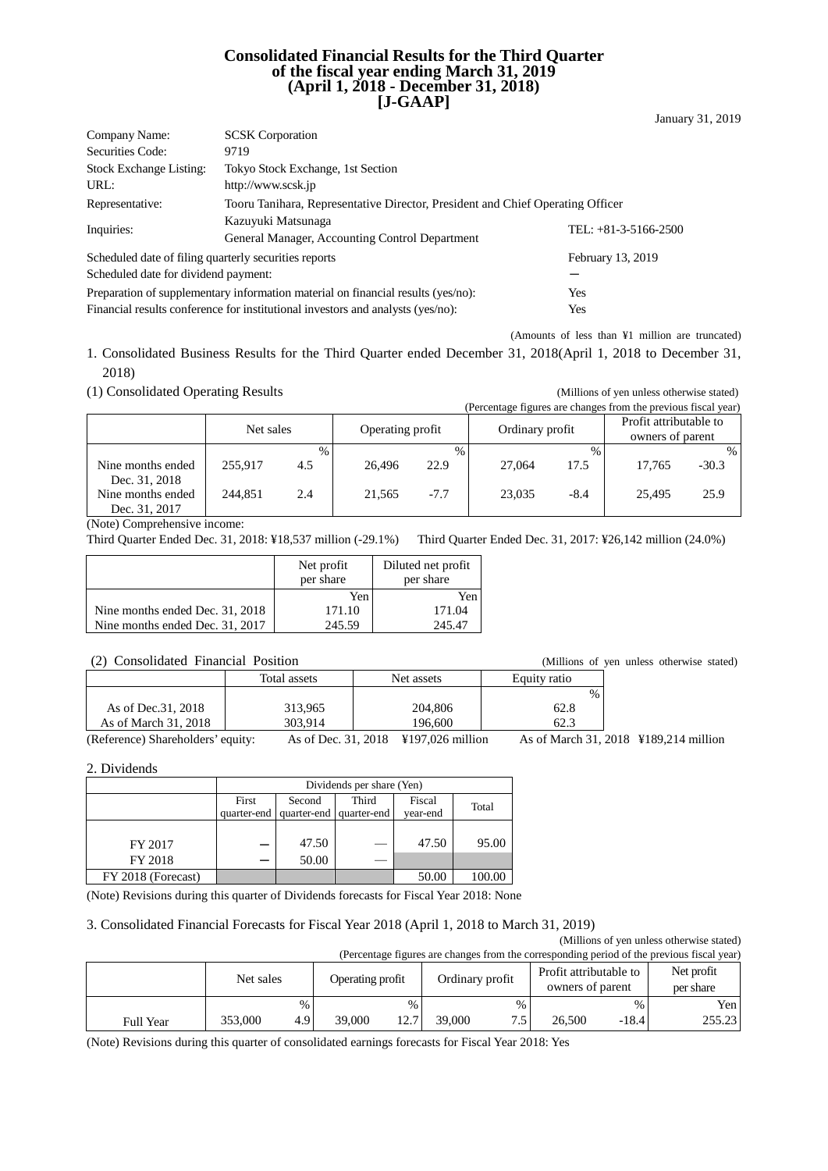#### **Consolidated Financial Results for the Third Quarter of the fiscal year ending March 31, 2019 (April 1, 2018 - December 31, 2018) [J-GAAP]**

| <b>SCSK</b> Corporation<br>Company Name:                                                          |                                                                                 |                        |  |  |  |  |
|---------------------------------------------------------------------------------------------------|---------------------------------------------------------------------------------|------------------------|--|--|--|--|
| Securities Code:                                                                                  | 9719                                                                            |                        |  |  |  |  |
| <b>Stock Exchange Listing:</b>                                                                    | Tokyo Stock Exchange, 1st Section                                               |                        |  |  |  |  |
| URL:                                                                                              | http://www.scsk.jp                                                              |                        |  |  |  |  |
| Tooru Tanihara, Representative Director, President and Chief Operating Officer<br>Representative: |                                                                                 |                        |  |  |  |  |
| Inquiries:                                                                                        | Kazuyuki Matsunaga                                                              | TEL: $+81-3-5166-2500$ |  |  |  |  |
|                                                                                                   | General Manager, Accounting Control Department                                  |                        |  |  |  |  |
| Scheduled date of filing quarterly securities reports                                             |                                                                                 | February 13, 2019      |  |  |  |  |
| Scheduled date for dividend payment:                                                              |                                                                                 |                        |  |  |  |  |
| Preparation of supplementary information material on financial results (yes/no):<br>Yes           |                                                                                 |                        |  |  |  |  |
|                                                                                                   | Financial results conference for institutional investors and analysts (yes/no): | Yes                    |  |  |  |  |

(Amounts of less than ¥1 million are truncated)

1. Consolidated Business Results for the Third Quarter ended December 31, 2018(April 1, 2018 to December 31, 2018)

(1) Consolidated Operating Results (Millions of yen unless otherwise stated)

|                                    | (Percentage figures are changes from the previous fiscal year) |      |                  |        |                 |               |                                            |         |
|------------------------------------|----------------------------------------------------------------|------|------------------|--------|-----------------|---------------|--------------------------------------------|---------|
|                                    | Net sales                                                      |      | Operating profit |        | Ordinary profit |               | Profit attributable to<br>owners of parent |         |
|                                    |                                                                | $\%$ |                  | $\%$   |                 | $\frac{0}{0}$ |                                            | $\%$    |
| Nine months ended<br>Dec. 31, 2018 | 255.917                                                        | 4.5  | 26.496           | 22.9   | 27,064          | 17.5          | 17.765                                     | $-30.3$ |
| Nine months ended<br>Dec. 31, 2017 | 244.851                                                        | 2.4  | 21,565           | $-7.7$ | 23,035          | $-8.4$        | 25.495                                     | 25.9    |

(Note) Comprehensive income:

Third Quarter Ended Dec. 31, 2018: ¥18,537 million (-29.1%) Third Quarter Ended Dec. 31, 2017: ¥26,142 million (24.0%)

|                                 | Net profit<br>per share | Diluted net profit<br>per share |
|---------------------------------|-------------------------|---------------------------------|
|                                 | Yen                     | Yen                             |
| Nine months ended Dec. 31, 2018 | 171.10                  | 171.04                          |
| Nine months ended Dec. 31, 2017 | 245.59                  | 245.47                          |

| $\mathcal{L}$ . Consondated Timancial Toshion |                     |                                       |                                       | wuunons of ven unicss oliiciwise staw |
|-----------------------------------------------|---------------------|---------------------------------------|---------------------------------------|---------------------------------------|
|                                               | Total assets        | Net assets                            | Equity ratio                          |                                       |
|                                               |                     |                                       | $\frac{0}{0}$                         |                                       |
| As of Dec. 31, 2018                           | 313.965             | 204,806                               | 62.8                                  |                                       |
| As of March 31, 2018                          | 303.914             | 196.600                               | 62.3                                  |                                       |
| (Reference) Shareholders' equity:             | As of Dec. 31, 2018 | $\text{\textsterling}197.026$ million | As of March 31, 2018 ¥189,214 million |                                       |

2. Dividends

|                    | Dividends per share (Yen) |                         |             |          |        |  |  |
|--------------------|---------------------------|-------------------------|-------------|----------|--------|--|--|
|                    | First                     | Second                  | Fiscal      | Total    |        |  |  |
|                    |                           | quarter-end quarter-end | quarter-end | vear-end |        |  |  |
|                    |                           |                         |             |          |        |  |  |
| FY 2017            |                           | 47.50                   |             | 47.50    | 95.00  |  |  |
| FY 2018            |                           | 50.00                   |             |          |        |  |  |
| FY 2018 (Forecast) |                           |                         |             | 50.00    | 100.00 |  |  |

(Note) Revisions during this quarter of Dividends forecasts for Fiscal Year 2018: None

#### 3. Consolidated Financial Forecasts for Fiscal Year 2018 (April 1, 2018 to March 31, 2019)

(Millions of yen unless otherwise stated) (Percentage figures are changes from the corresponding period of the previous fiscal year) Net sales Operating profit Ordinary profit Profit attributable to owners of parent Net profit per share %  $\begin{array}{ccc} \hline \text{96} & \text{96} \\ \hline \end{array}$  \  $\begin{array}{ccc} \hline \text{96} & \text{96} \\ \hline \end{array}$  \  $\begin{array}{ccc} \hline \text{96} & \text{12} \\ \hline \text{16} & \text{16} \\ \hline \end{array}$ Full Year 353,000 4.9 39,000 12.7 39,000 7.5 26,500 -18.4 255.23

(Note) Revisions during this quarter of consolidated earnings forecasts for Fiscal Year 2018: Yes

| THE HOHIS CHUCU DEC. $31, 2017$     | 249.99 | 24J.47 |                                           |  |  |
|-------------------------------------|--------|--------|-------------------------------------------|--|--|
|                                     |        |        |                                           |  |  |
|                                     |        |        |                                           |  |  |
| (2) Consolidated Financial Position |        |        | (Millions of yen unless otherwise stated) |  |  |
|                                     |        |        |                                           |  |  |

January 31, 2019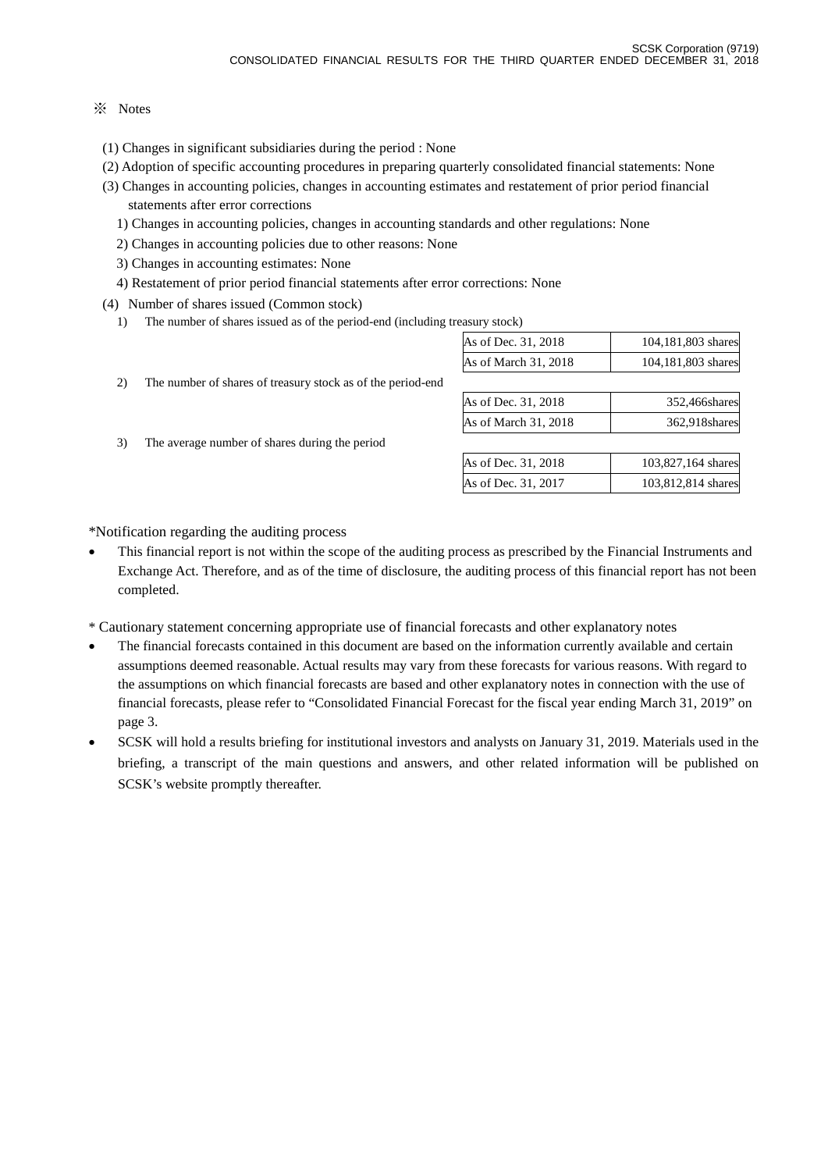#### ※ Notes

- (1) Changes in significant subsidiaries during the period : None
- (2) Adoption of specific accounting procedures in preparing quarterly consolidated financial statements: None
- (3) Changes in accounting policies, changes in accounting estimates and restatement of prior period financial statements after error corrections
	- 1) Changes in accounting policies, changes in accounting standards and other regulations: None
	- 2) Changes in accounting policies due to other reasons: None
	- 3) Changes in accounting estimates: None
	- 4) Restatement of prior period financial statements after error corrections: None
- (4) Number of shares issued (Common stock)
	- 1) The number of shares issued as of the period-end (including treasury stock)

| As of Dec. 31, 2018  | 104,181,803 shares |
|----------------------|--------------------|
| As of March 31, 2018 | 104,181,803 shares |
|                      |                    |

- 2) The number of shares of treasury stock as of the period-end
- 3) The average number of shares during the period

| As of Dec. 31, 2018  | 352,466shares |
|----------------------|---------------|
| As of March 31, 2018 | 362,918shares |
|                      |               |

| As of Dec. 31, 2018 | 103,827,164 shares |
|---------------------|--------------------|
| As of Dec. 31, 2017 | 103,812,814 shares |

\*Notification regarding the auditing process

- This financial report is not within the scope of the auditing process as prescribed by the Financial Instruments and Exchange Act. Therefore, and as of the time of disclosure, the auditing process of this financial report has not been completed.
- \* Cautionary statement concerning appropriate use of financial forecasts and other explanatory notes
- The financial forecasts contained in this document are based on the information currently available and certain assumptions deemed reasonable. Actual results may vary from these forecasts for various reasons. With regard to the assumptions on which financial forecasts are based and other explanatory notes in connection with the use of financial forecasts, please refer to "Consolidated Financial Forecast for the fiscal year ending March 31, 2019" on page 3.
- SCSK will hold a results briefing for institutional investors and analysts on January 31, 2019. Materials used in the briefing, a transcript of the main questions and answers, and other related information will be published on SCSK's website promptly thereafter.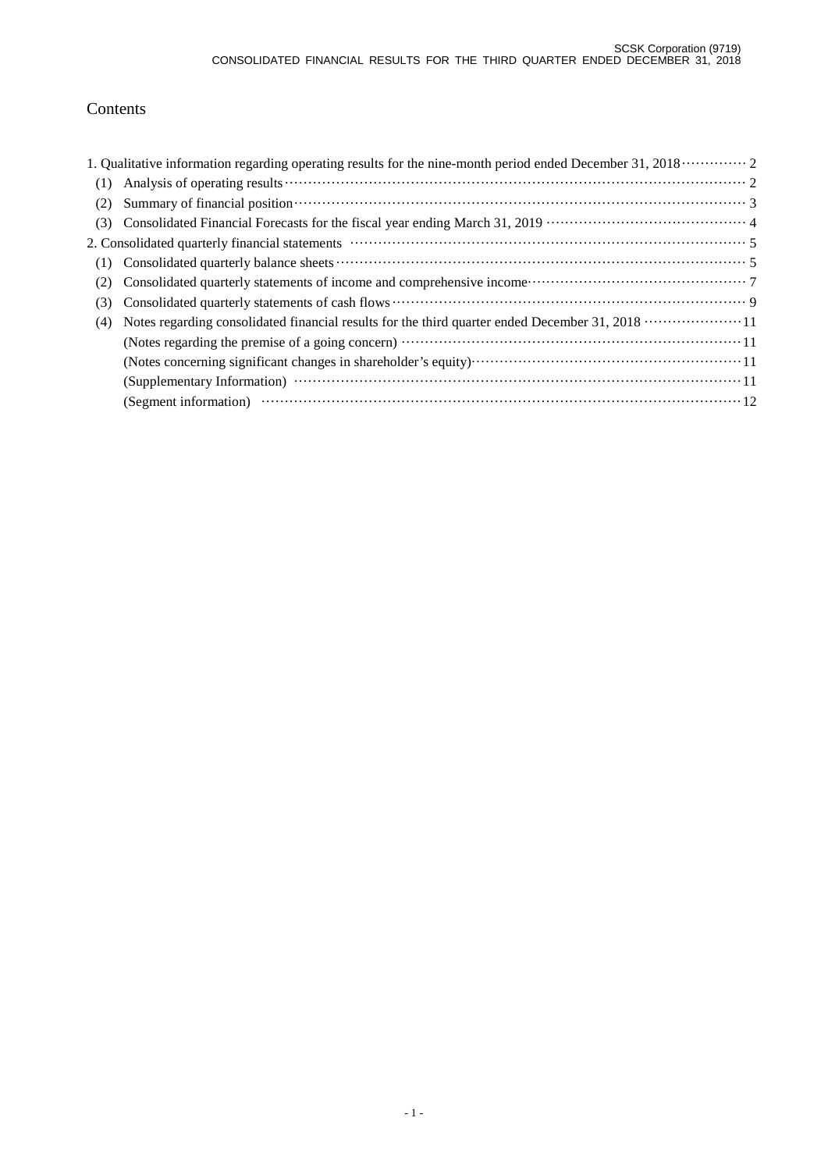# Contents

|     | 1. Qualitative information regarding operating results for the nine-month period ended December 31, 2018  2                                                                                                                    |
|-----|--------------------------------------------------------------------------------------------------------------------------------------------------------------------------------------------------------------------------------|
| (1) |                                                                                                                                                                                                                                |
| (2) | Summary of financial position contains and the contact of the state of the state of the state of the state of the state of the state of the state of the state of the state of the state of the state of the state of the stat |
| (3) |                                                                                                                                                                                                                                |
|     |                                                                                                                                                                                                                                |
| (1) |                                                                                                                                                                                                                                |
| (2) |                                                                                                                                                                                                                                |
| (3) |                                                                                                                                                                                                                                |
| (4) |                                                                                                                                                                                                                                |
|     |                                                                                                                                                                                                                                |
|     |                                                                                                                                                                                                                                |
|     |                                                                                                                                                                                                                                |
|     |                                                                                                                                                                                                                                |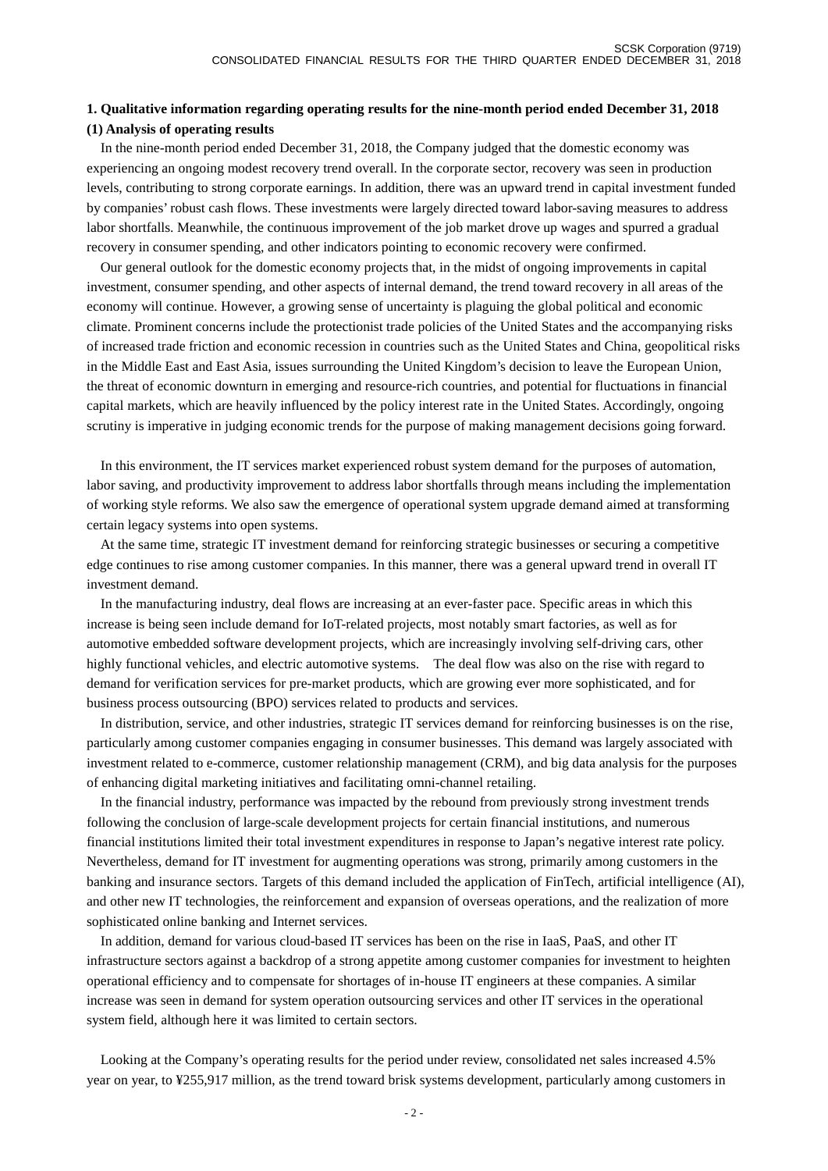## **1. Qualitative information regarding operating results for the nine-month period ended December 31, 2018 (1) Analysis of operating results**

In the nine-month period ended December 31, 2018, the Company judged that the domestic economy was experiencing an ongoing modest recovery trend overall. In the corporate sector, recovery was seen in production levels, contributing to strong corporate earnings. In addition, there was an upward trend in capital investment funded by companies' robust cash flows. These investments were largely directed toward labor-saving measures to address labor shortfalls. Meanwhile, the continuous improvement of the job market drove up wages and spurred a gradual recovery in consumer spending, and other indicators pointing to economic recovery were confirmed.

Our general outlook for the domestic economy projects that, in the midst of ongoing improvements in capital investment, consumer spending, and other aspects of internal demand, the trend toward recovery in all areas of the economy will continue. However, a growing sense of uncertainty is plaguing the global political and economic climate. Prominent concerns include the protectionist trade policies of the United States and the accompanying risks of increased trade friction and economic recession in countries such as the United States and China, geopolitical risks in the Middle East and East Asia, issues surrounding the United Kingdom's decision to leave the European Union, the threat of economic downturn in emerging and resource-rich countries, and potential for fluctuations in financial capital markets, which are heavily influenced by the policy interest rate in the United States. Accordingly, ongoing scrutiny is imperative in judging economic trends for the purpose of making management decisions going forward.

In this environment, the IT services market experienced robust system demand for the purposes of automation, labor saving, and productivity improvement to address labor shortfalls through means including the implementation of working style reforms. We also saw the emergence of operational system upgrade demand aimed at transforming certain legacy systems into open systems.

At the same time, strategic IT investment demand for reinforcing strategic businesses or securing a competitive edge continues to rise among customer companies. In this manner, there was a general upward trend in overall IT investment demand.

In the manufacturing industry, deal flows are increasing at an ever-faster pace. Specific areas in which this increase is being seen include demand for IoT-related projects, most notably smart factories, as well as for automotive embedded software development projects, which are increasingly involving self-driving cars, other highly functional vehicles, and electric automotive systems. The deal flow was also on the rise with regard to demand for verification services for pre-market products, which are growing ever more sophisticated, and for business process outsourcing (BPO) services related to products and services.

In distribution, service, and other industries, strategic IT services demand for reinforcing businesses is on the rise, particularly among customer companies engaging in consumer businesses. This demand was largely associated with investment related to e-commerce, customer relationship management (CRM), and big data analysis for the purposes of enhancing digital marketing initiatives and facilitating omni-channel retailing.

In the financial industry, performance was impacted by the rebound from previously strong investment trends following the conclusion of large-scale development projects for certain financial institutions, and numerous financial institutions limited their total investment expenditures in response to Japan's negative interest rate policy. Nevertheless, demand for IT investment for augmenting operations was strong, primarily among customers in the banking and insurance sectors. Targets of this demand included the application of FinTech, artificial intelligence (AI), and other new IT technologies, the reinforcement and expansion of overseas operations, and the realization of more sophisticated online banking and Internet services.

In addition, demand for various cloud-based IT services has been on the rise in IaaS, PaaS, and other IT infrastructure sectors against a backdrop of a strong appetite among customer companies for investment to heighten operational efficiency and to compensate for shortages of in-house IT engineers at these companies. A similar increase was seen in demand for system operation outsourcing services and other IT services in the operational system field, although here it was limited to certain sectors.

Looking at the Company's operating results for the period under review, consolidated net sales increased 4.5% year on year, to ¥255,917 million, as the trend toward brisk systems development, particularly among customers in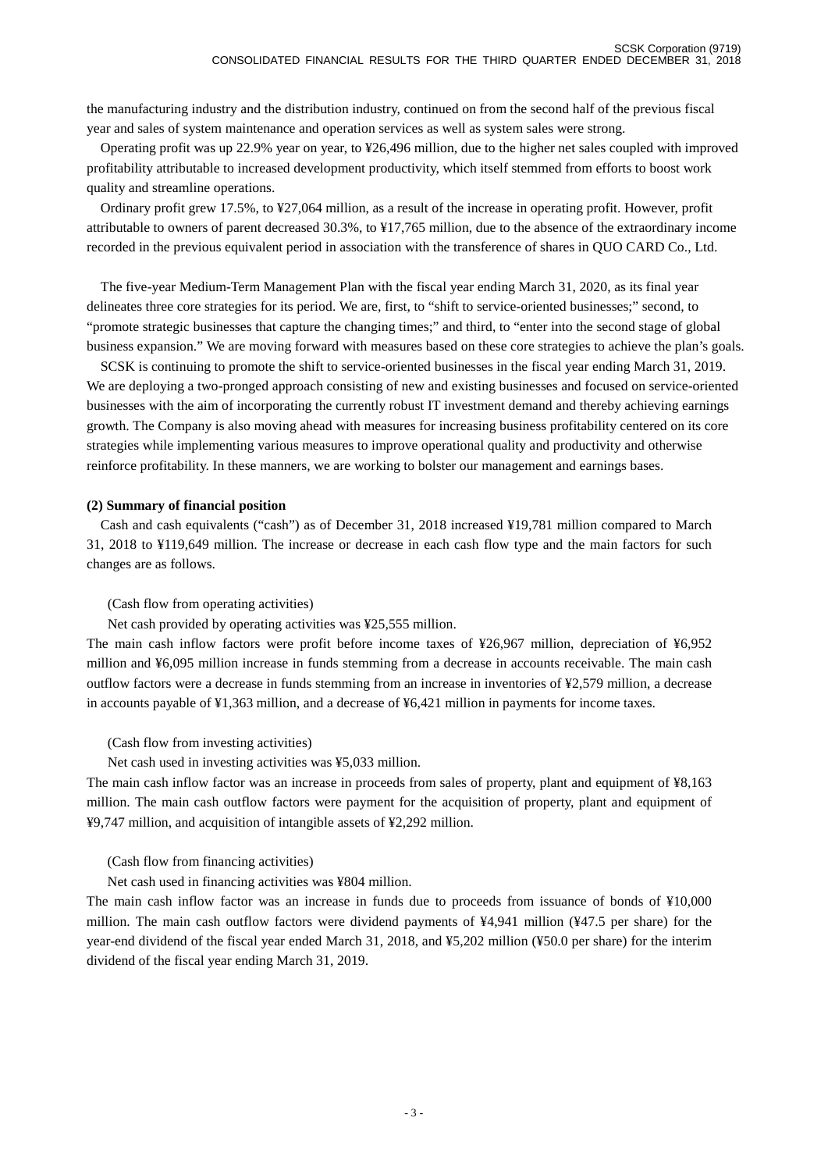the manufacturing industry and the distribution industry, continued on from the second half of the previous fiscal year and sales of system maintenance and operation services as well as system sales were strong.

Operating profit was up 22.9% year on year, to ¥26,496 million, due to the higher net sales coupled with improved profitability attributable to increased development productivity, which itself stemmed from efforts to boost work quality and streamline operations.

Ordinary profit grew 17.5%, to ¥27,064 million, as a result of the increase in operating profit. However, profit attributable to owners of parent decreased 30.3%, to ¥17,765 million, due to the absence of the extraordinary income recorded in the previous equivalent period in association with the transference of shares in QUO CARD Co., Ltd.

 The five-year Medium-Term Management Plan with the fiscal year ending March 31, 2020, as its final year delineates three core strategies for its period. We are, first, to "shift to service-oriented businesses;" second, to "promote strategic businesses that capture the changing times;" and third, to "enter into the second stage of global business expansion." We are moving forward with measures based on these core strategies to achieve the plan's goals.

SCSK is continuing to promote the shift to service-oriented businesses in the fiscal year ending March 31, 2019. We are deploying a two-pronged approach consisting of new and existing businesses and focused on service-oriented businesses with the aim of incorporating the currently robust IT investment demand and thereby achieving earnings growth. The Company is also moving ahead with measures for increasing business profitability centered on its core strategies while implementing various measures to improve operational quality and productivity and otherwise reinforce profitability. In these manners, we are working to bolster our management and earnings bases.

#### **(2) Summary of financial position**

Cash and cash equivalents ("cash") as of December 31, 2018 increased ¥19,781 million compared to March 31, 2018 to ¥119,649 million. The increase or decrease in each cash flow type and the main factors for such changes are as follows.

#### (Cash flow from operating activities)

Net cash provided by operating activities was ¥25,555 million.

The main cash inflow factors were profit before income taxes of ¥26,967 million, depreciation of ¥6,952 million and ¥6,095 million increase in funds stemming from a decrease in accounts receivable. The main cash outflow factors were a decrease in funds stemming from an increase in inventories of ¥2,579 million, a decrease in accounts payable of ¥1,363 million, and a decrease of ¥6,421 million in payments for income taxes.

#### (Cash flow from investing activities)

Net cash used in investing activities was ¥5,033 million.

The main cash inflow factor was an increase in proceeds from sales of property, plant and equipment of ¥8,163 million. The main cash outflow factors were payment for the acquisition of property, plant and equipment of ¥9,747 million, and acquisition of intangible assets of ¥2,292 million.

(Cash flow from financing activities)

Net cash used in financing activities was ¥804 million.

The main cash inflow factor was an increase in funds due to proceeds from issuance of bonds of ¥10,000 million. The main cash outflow factors were dividend payments of ¥4,941 million (¥47.5 per share) for the year-end dividend of the fiscal year ended March 31, 2018, and ¥5,202 million (¥50.0 per share) for the interim dividend of the fiscal year ending March 31, 2019.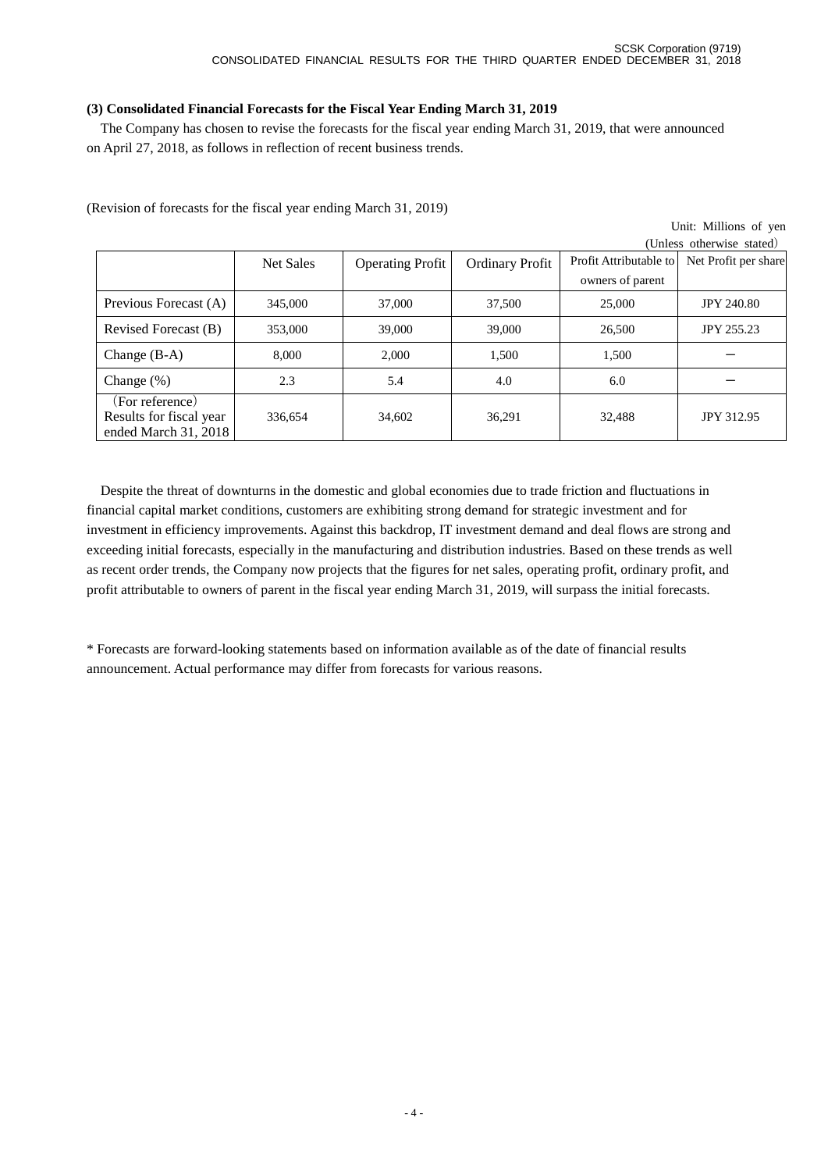## **(3) Consolidated Financial Forecasts for the Fiscal Year Ending March 31, 2019**

The Company has chosen to revise the forecasts for the fiscal year ending March 31, 2019, that were announced on April 27, 2018, as follows in reflection of recent business trends.

(Revision of forecasts for the fiscal year ending March 31, 2019)

|  | Unit: Millions of yen |  |
|--|-----------------------|--|
|  |                       |  |

|                                                                    |           |                         |                        |                        | (Unless otherwise stated) |
|--------------------------------------------------------------------|-----------|-------------------------|------------------------|------------------------|---------------------------|
|                                                                    | Net Sales | <b>Operating Profit</b> | <b>Ordinary Profit</b> | Profit Attributable to | Net Profit per share      |
|                                                                    |           |                         |                        | owners of parent       |                           |
| Previous Forecast (A)                                              | 345,000   | 37,000                  | 37,500                 | 25,000                 | <b>JPY 240.80</b>         |
| Revised Forecast (B)                                               | 353,000   | 39,000                  | 39,000                 | 26,500                 | <b>JPY 255.23</b>         |
| Change $(B-A)$                                                     | 8.000     | 2.000                   | 1,500                  | 1,500                  |                           |
| Change $(\%)$                                                      | 2.3       | 5.4                     | 4.0                    | 6.0                    |                           |
| (For reference)<br>Results for fiscal year<br>ended March 31, 2018 | 336,654   | 34,602                  | 36,291                 | 32.488                 | <b>JPY 312.95</b>         |

Despite the threat of downturns in the domestic and global economies due to trade friction and fluctuations in financial capital market conditions, customers are exhibiting strong demand for strategic investment and for investment in efficiency improvements. Against this backdrop, IT investment demand and deal flows are strong and exceeding initial forecasts, especially in the manufacturing and distribution industries. Based on these trends as well as recent order trends, the Company now projects that the figures for net sales, operating profit, ordinary profit, and profit attributable to owners of parent in the fiscal year ending March 31, 2019, will surpass the initial forecasts.

\* Forecasts are forward-looking statements based on information available as of the date of financial results announcement. Actual performance may differ from forecasts for various reasons.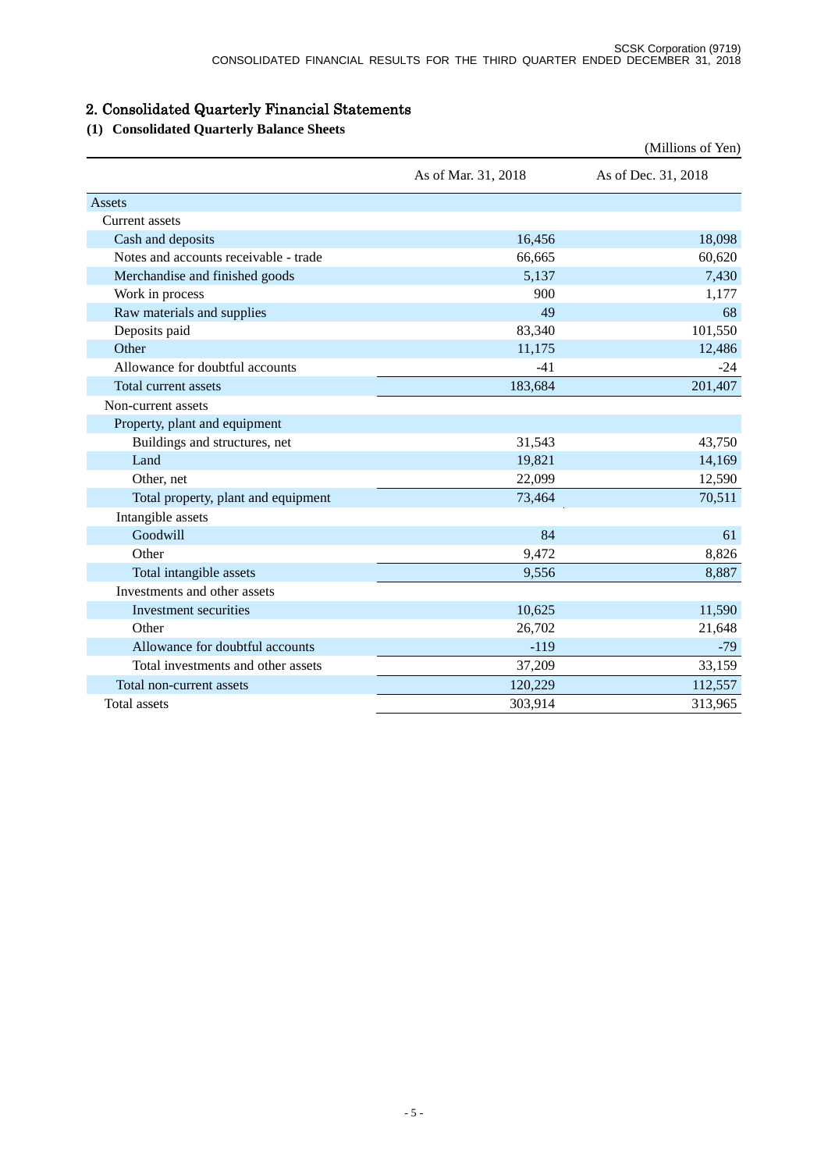# 2. Consolidated Quarterly Financial Statements

# **(1) Consolidated Quarterly Balance Sheets**

|                                       |                     | (Millions of Yen)   |
|---------------------------------------|---------------------|---------------------|
|                                       | As of Mar. 31, 2018 | As of Dec. 31, 2018 |
| Assets                                |                     |                     |
| Current assets                        |                     |                     |
| Cash and deposits                     | 16,456              | 18,098              |
| Notes and accounts receivable - trade | 66,665              | 60,620              |
| Merchandise and finished goods        | 5,137               | 7,430               |
| Work in process                       | 900                 | 1,177               |
| Raw materials and supplies            | 49                  | 68                  |
| Deposits paid                         | 83,340              | 101,550             |
| Other                                 | 11,175              | 12,486              |
| Allowance for doubtful accounts       | $-41$               | $-24$               |
| Total current assets                  | 183,684             | 201,407             |
| Non-current assets                    |                     |                     |
| Property, plant and equipment         |                     |                     |
| Buildings and structures, net         | 31,543              | 43,750              |
| Land                                  | 19,821              | 14,169              |
| Other, net                            | 22,099              | 12,590              |
| Total property, plant and equipment   | 73,464              | 70,511              |
| Intangible assets                     |                     |                     |
| Goodwill                              | 84                  | 61                  |
| Other                                 | 9,472               | 8,826               |
| Total intangible assets               | 9,556               | 8,887               |
| Investments and other assets          |                     |                     |
| Investment securities                 | 10,625              | 11,590              |
| Other                                 | 26,702              | 21,648              |
| Allowance for doubtful accounts       | $-119$              | $-79$               |
| Total investments and other assets    | 37,209              | 33,159              |
| Total non-current assets              | 120,229             | 112,557             |
| <b>Total</b> assets                   | 303,914             | 313,965             |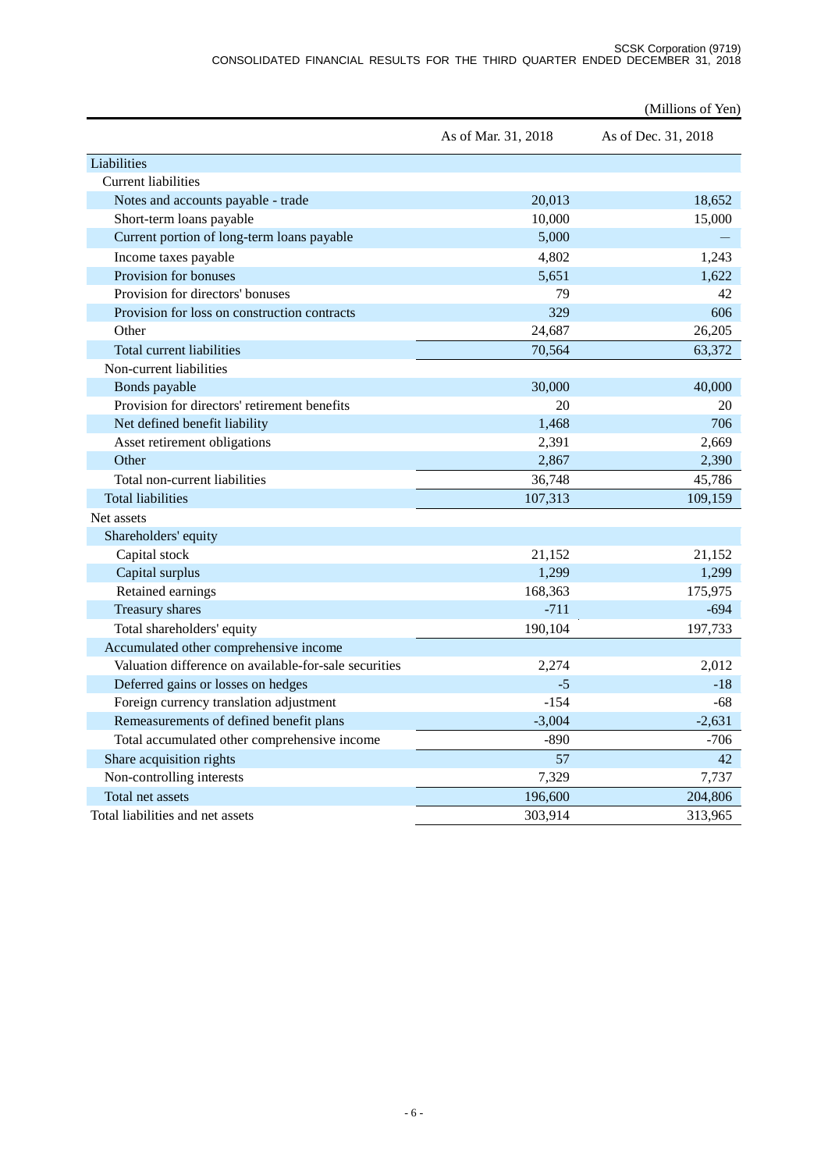|                                                       |                     | (Millions of Yen)   |
|-------------------------------------------------------|---------------------|---------------------|
|                                                       | As of Mar. 31, 2018 | As of Dec. 31, 2018 |
| Liabilities                                           |                     |                     |
| <b>Current liabilities</b>                            |                     |                     |
| Notes and accounts payable - trade                    | 20,013              | 18,652              |
| Short-term loans payable                              | 10,000              | 15,000              |
| Current portion of long-term loans payable            | 5,000               |                     |
| Income taxes payable                                  | 4,802               | 1,243               |
| Provision for bonuses                                 | 5,651               | 1.622               |
| Provision for directors' bonuses                      | 79                  | 42                  |
| Provision for loss on construction contracts          | 329                 | 606                 |
| Other                                                 | 24,687              | 26,205              |
| Total current liabilities                             | 70,564              | 63,372              |
| Non-current liabilities                               |                     |                     |
| Bonds payable                                         | 30,000              | 40,000              |
| Provision for directors' retirement benefits          | 20                  | 20                  |
| Net defined benefit liability                         | 1.468               | 706                 |
| Asset retirement obligations                          | 2,391               | 2,669               |
| Other                                                 | 2,867               | 2,390               |
| Total non-current liabilities                         | 36,748              | 45,786              |
| <b>Total liabilities</b>                              | 107,313             | 109,159             |
| Net assets                                            |                     |                     |
| Shareholders' equity                                  |                     |                     |
| Capital stock                                         | 21,152              | 21,152              |
| Capital surplus                                       | 1,299               | 1,299               |
| Retained earnings                                     | 168,363             | 175,975             |
| Treasury shares                                       | $-711$              | $-694$              |
| Total shareholders' equity                            | 190,104             | 197,733             |
| Accumulated other comprehensive income                |                     |                     |
| Valuation difference on available-for-sale securities | 2,274               | 2,012               |
| Deferred gains or losses on hedges                    | $-5$                | $-18$               |
| Foreign currency translation adjustment               | $-154$              | $-68$               |
| Remeasurements of defined benefit plans               | $-3,004$            | $-2,631$            |
| Total accumulated other comprehensive income          | $-890$              | $-706$              |
| Share acquisition rights                              | 57                  | 42                  |
| Non-controlling interests                             | 7,329               | 7,737               |
| Total net assets                                      | 196,600             | 204,806             |
| Total liabilities and net assets                      | 303,914             | 313,965             |
|                                                       |                     |                     |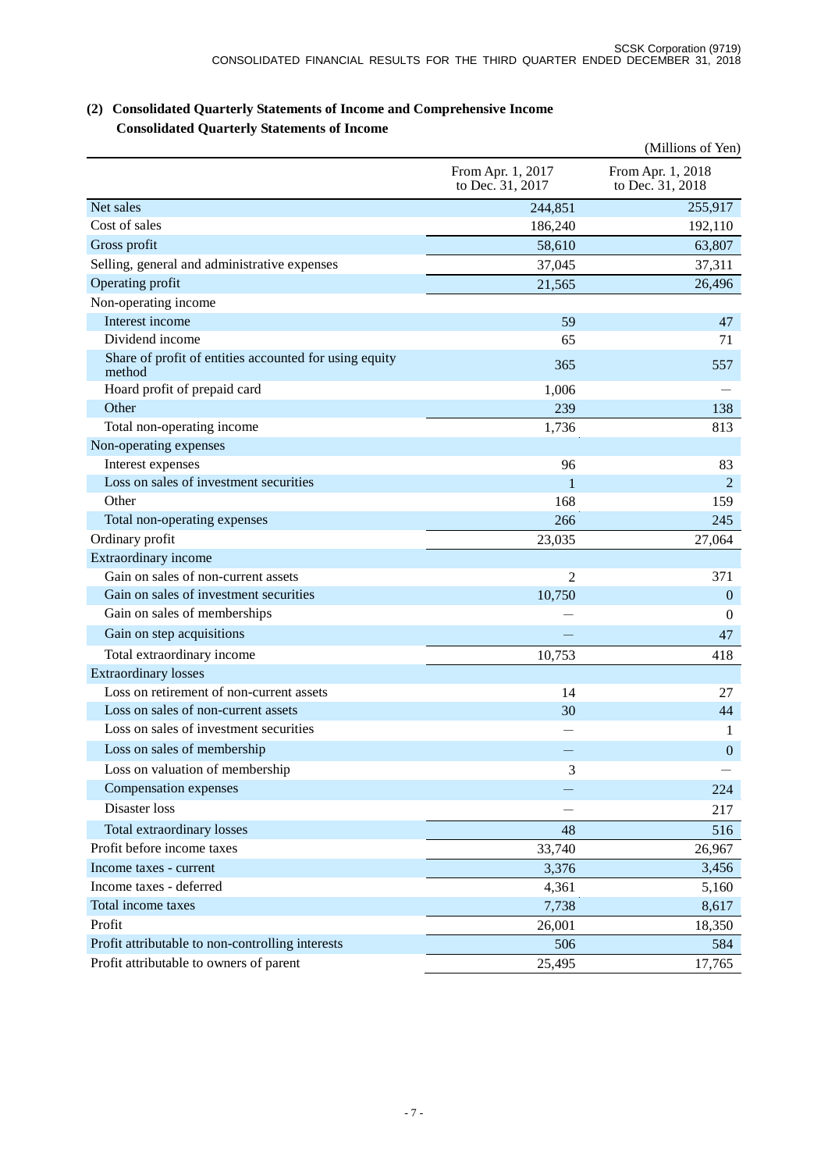|                                                                  |                                       | (Millions of Yen)                     |
|------------------------------------------------------------------|---------------------------------------|---------------------------------------|
|                                                                  | From Apr. 1, 2017<br>to Dec. 31, 2017 | From Apr. 1, 2018<br>to Dec. 31, 2018 |
| Net sales                                                        | 244,851                               | 255,917                               |
| Cost of sales                                                    | 186,240                               | 192,110                               |
| Gross profit                                                     | 58,610                                | 63,807                                |
| Selling, general and administrative expenses                     | 37,045                                | 37,311                                |
| Operating profit                                                 | 21,565                                | 26,496                                |
| Non-operating income                                             |                                       |                                       |
| Interest income                                                  | 59                                    | 47                                    |
| Dividend income                                                  | 65                                    | 71                                    |
| Share of profit of entities accounted for using equity<br>method | 365                                   | 557                                   |
| Hoard profit of prepaid card                                     | 1,006                                 |                                       |
| Other                                                            | 239                                   | 138                                   |
| Total non-operating income                                       | 1,736                                 | 813                                   |
| Non-operating expenses                                           |                                       |                                       |
| Interest expenses                                                | 96                                    | 83                                    |
| Loss on sales of investment securities                           | 1                                     | $\overline{2}$                        |
| Other                                                            | 168                                   | 159                                   |
| Total non-operating expenses                                     | 266                                   | 245                                   |
| Ordinary profit                                                  | 23,035                                | 27,064                                |
| Extraordinary income                                             |                                       |                                       |
| Gain on sales of non-current assets                              | $\overline{2}$                        | 371                                   |
| Gain on sales of investment securities                           | 10,750                                | $\boldsymbol{0}$                      |
| Gain on sales of memberships                                     |                                       | $\theta$                              |
| Gain on step acquisitions                                        |                                       | 47                                    |
| Total extraordinary income                                       | 10,753                                | 418                                   |
| <b>Extraordinary losses</b>                                      |                                       |                                       |
| Loss on retirement of non-current assets                         | 14                                    | 27                                    |
| Loss on sales of non-current assets                              | 30                                    | 44                                    |
| Loss on sales of investment securities                           |                                       | 1                                     |
| Loss on sales of membership                                      |                                       | $\boldsymbol{0}$                      |
| Loss on valuation of membership                                  | 3                                     |                                       |
| Compensation expenses                                            |                                       | 224                                   |
| Disaster loss                                                    |                                       | 217                                   |
| Total extraordinary losses                                       | 48                                    | 516                                   |
| Profit before income taxes                                       | 33,740                                | 26,967                                |
| Income taxes - current                                           | 3,376                                 | 3,456                                 |
| Income taxes - deferred                                          | 4,361                                 | 5,160                                 |
| Total income taxes                                               | 7,738                                 | 8,617                                 |
| Profit                                                           | 26,001                                | 18,350                                |
| Profit attributable to non-controlling interests                 | 506                                   | 584                                   |
| Profit attributable to owners of parent                          | 25,495                                | 17,765                                |

## **(2) Consolidated Quarterly Statements of Income and Comprehensive Income Consolidated Quarterly Statements of Income**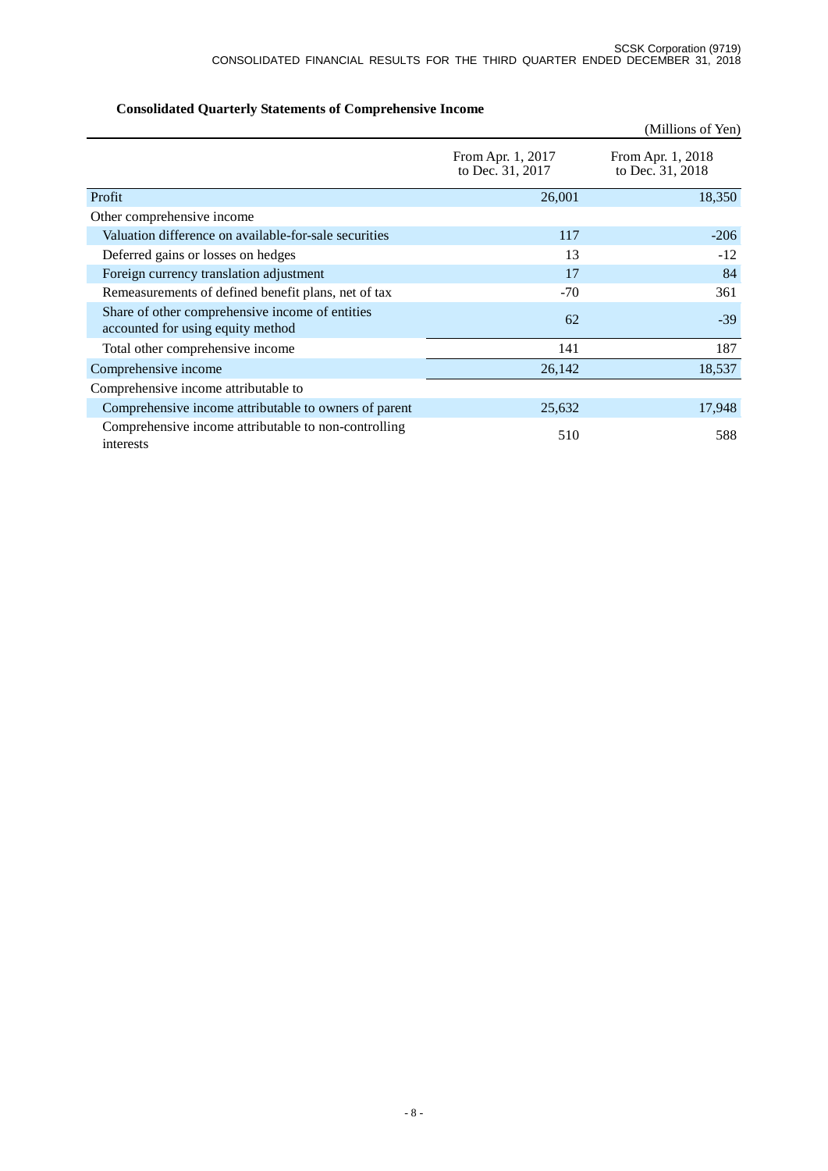|                                                                                      |                                       | (Millions of Yen)                     |
|--------------------------------------------------------------------------------------|---------------------------------------|---------------------------------------|
|                                                                                      | From Apr. 1, 2017<br>to Dec. 31, 2017 | From Apr. 1, 2018<br>to Dec. 31, 2018 |
| Profit                                                                               | 26,001                                | 18,350                                |
| Other comprehensive income                                                           |                                       |                                       |
| Valuation difference on available-for-sale securities                                | 117                                   | $-206$                                |
| Deferred gains or losses on hedges                                                   | 13                                    | $-12$                                 |
| Foreign currency translation adjustment                                              | 17                                    | 84                                    |
| Remeasurements of defined benefit plans, net of tax                                  | $-70$                                 | 361                                   |
| Share of other comprehensive income of entities<br>accounted for using equity method | 62                                    | $-39$                                 |
| Total other comprehensive income                                                     | 141                                   | 187                                   |
| Comprehensive income                                                                 | 26,142                                | 18,537                                |
| Comprehensive income attributable to                                                 |                                       |                                       |
| Comprehensive income attributable to owners of parent                                | 25,632                                | 17,948                                |
| Comprehensive income attributable to non-controlling<br>interests                    | 510                                   | 588                                   |

# **Consolidated Quarterly Statements of Comprehensive Income**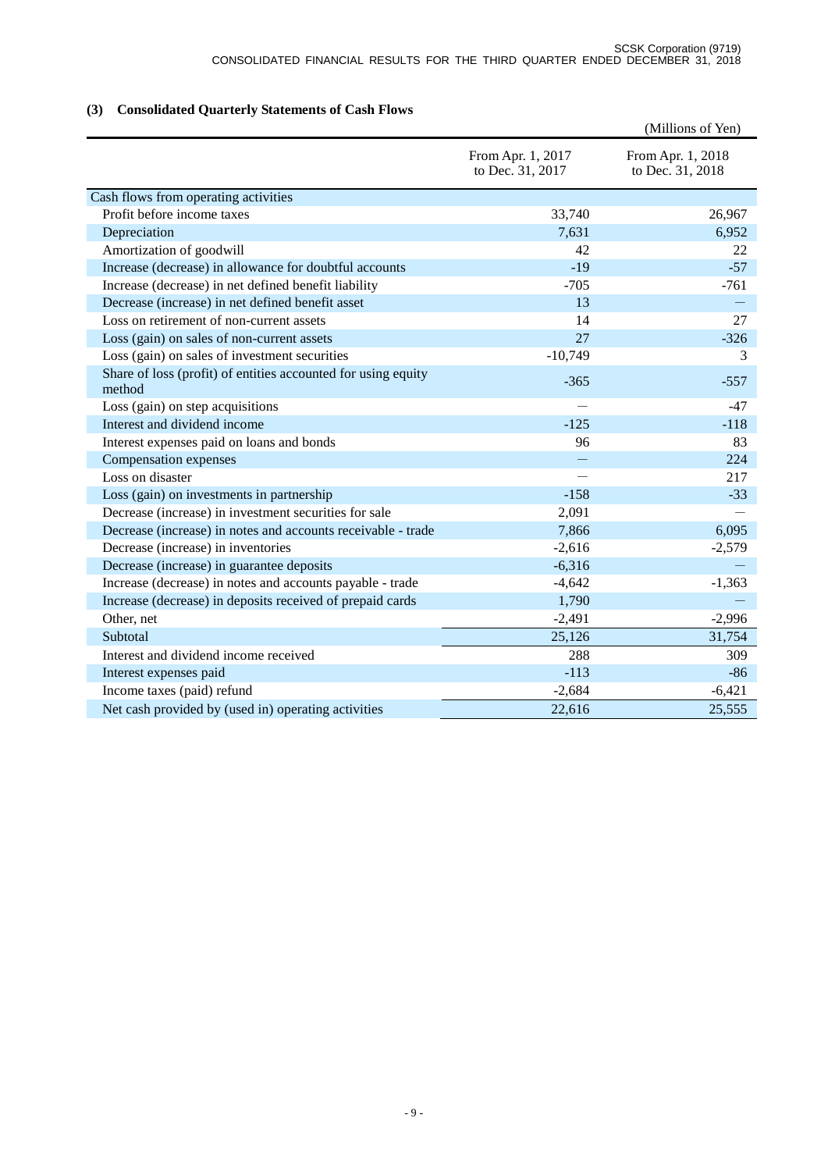# **(3) Consolidated Quarterly Statements of Cash Flows**

|                                                                         |                                       | (Millions of Yen)                     |
|-------------------------------------------------------------------------|---------------------------------------|---------------------------------------|
|                                                                         | From Apr. 1, 2017<br>to Dec. 31, 2017 | From Apr. 1, 2018<br>to Dec. 31, 2018 |
| Cash flows from operating activities                                    |                                       |                                       |
| Profit before income taxes                                              | 33,740                                | 26,967                                |
| Depreciation                                                            | 7,631                                 | 6,952                                 |
| Amortization of goodwill                                                | 42                                    | 22                                    |
| Increase (decrease) in allowance for doubtful accounts                  | $-19$                                 | $-57$                                 |
| Increase (decrease) in net defined benefit liability                    | $-705$                                | $-761$                                |
| Decrease (increase) in net defined benefit asset                        | 13                                    |                                       |
| Loss on retirement of non-current assets                                | 14                                    | 27                                    |
| Loss (gain) on sales of non-current assets                              | 27                                    | $-326$                                |
| Loss (gain) on sales of investment securities                           | $-10,749$                             | 3                                     |
| Share of loss (profit) of entities accounted for using equity<br>method | $-365$                                | $-557$                                |
| Loss (gain) on step acquisitions                                        |                                       | $-47$                                 |
| Interest and dividend income                                            | $-125$                                | $-118$                                |
| Interest expenses paid on loans and bonds                               | 96                                    | 83                                    |
| Compensation expenses                                                   |                                       | 224                                   |
| Loss on disaster                                                        |                                       | 217                                   |
| Loss (gain) on investments in partnership                               | $-158$                                | $-33$                                 |
| Decrease (increase) in investment securities for sale                   | 2,091                                 |                                       |
| Decrease (increase) in notes and accounts receivable - trade            | 7,866                                 | 6,095                                 |
| Decrease (increase) in inventories                                      | $-2,616$                              | $-2,579$                              |
| Decrease (increase) in guarantee deposits                               | $-6,316$                              |                                       |
| Increase (decrease) in notes and accounts payable - trade               | $-4,642$                              | $-1,363$                              |
| Increase (decrease) in deposits received of prepaid cards               | 1,790                                 |                                       |
| Other, net                                                              | $-2,491$                              | $-2,996$                              |
| Subtotal                                                                | 25,126                                | 31,754                                |
| Interest and dividend income received                                   | 288                                   | 309                                   |
| Interest expenses paid                                                  | $-113$                                | $-86$                                 |
| Income taxes (paid) refund                                              | $-2,684$                              | $-6,421$                              |
| Net cash provided by (used in) operating activities                     | 22,616                                | 25,555                                |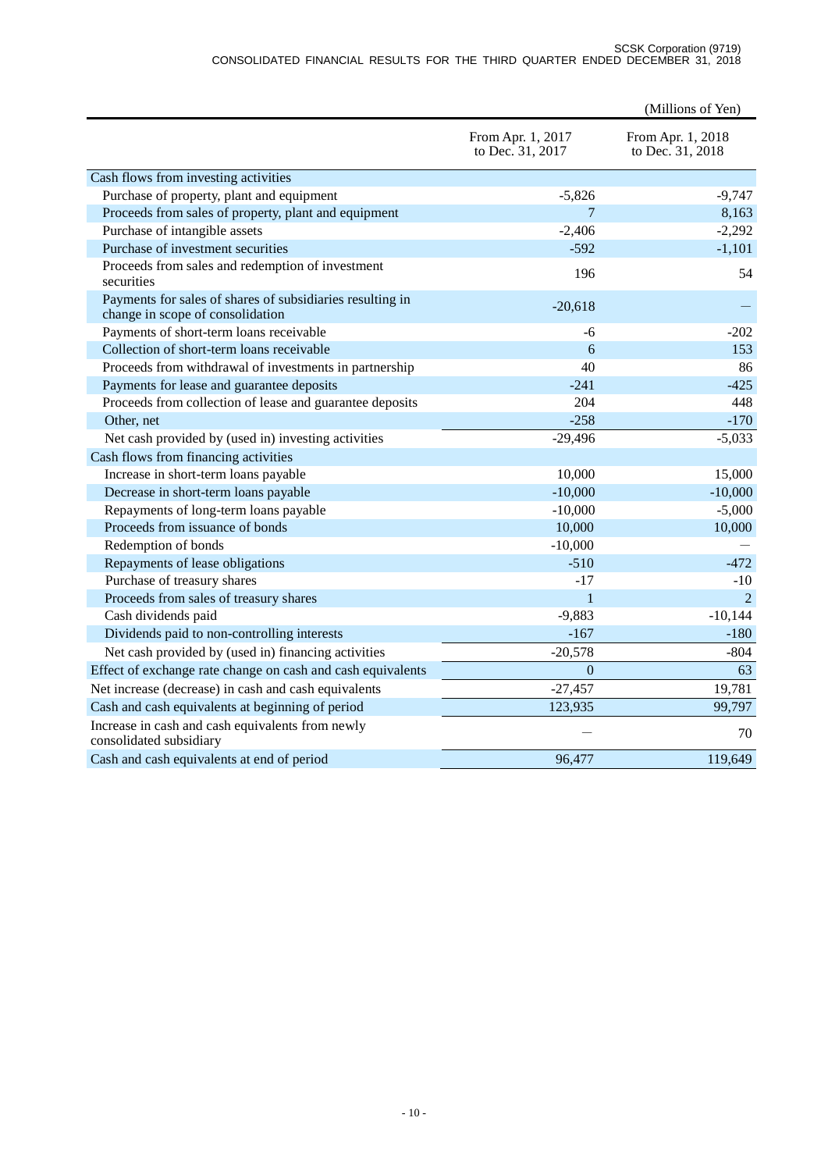#### SCSK Corporation (9719) CONSOLIDATED FINANCIAL RESULTS FOR THE THIRD QUARTER ENDED DECEMBER 31, 2018

|                                                                                               |                                       | (Millions of Yen)                     |
|-----------------------------------------------------------------------------------------------|---------------------------------------|---------------------------------------|
|                                                                                               | From Apr. 1, 2017<br>to Dec. 31, 2017 | From Apr. 1, 2018<br>to Dec. 31, 2018 |
| Cash flows from investing activities                                                          |                                       |                                       |
| Purchase of property, plant and equipment                                                     | $-5,826$                              | $-9,747$                              |
| Proceeds from sales of property, plant and equipment                                          | 7                                     | 8,163                                 |
| Purchase of intangible assets                                                                 | $-2,406$                              | $-2,292$                              |
| Purchase of investment securities                                                             | $-592$                                | $-1,101$                              |
| Proceeds from sales and redemption of investment<br>securities                                | 196                                   | 54                                    |
| Payments for sales of shares of subsidiaries resulting in<br>change in scope of consolidation | $-20,618$                             |                                       |
| Payments of short-term loans receivable                                                       | -6                                    | $-202$                                |
| Collection of short-term loans receivable                                                     | 6                                     | 153                                   |
| Proceeds from withdrawal of investments in partnership                                        | 40                                    | 86                                    |
| Payments for lease and guarantee deposits                                                     | $-241$                                | $-425$                                |
| Proceeds from collection of lease and guarantee deposits                                      | 204                                   | 448                                   |
| Other, net                                                                                    | $-258$                                | $-170$                                |
| Net cash provided by (used in) investing activities                                           | $-29,496$                             | $-5,033$                              |
| Cash flows from financing activities                                                          |                                       |                                       |
| Increase in short-term loans payable                                                          | 10,000                                | 15,000                                |
| Decrease in short-term loans payable                                                          | $-10,000$                             | $-10,000$                             |
| Repayments of long-term loans payable                                                         | $-10,000$                             | $-5,000$                              |
| Proceeds from issuance of bonds                                                               | 10,000                                | 10,000                                |
| Redemption of bonds                                                                           | $-10,000$                             |                                       |
| Repayments of lease obligations                                                               | $-510$                                | $-472$                                |
| Purchase of treasury shares                                                                   | $-17$                                 | $-10$                                 |
| Proceeds from sales of treasury shares                                                        | $\mathbf{1}$                          | 2                                     |
| Cash dividends paid                                                                           | $-9,883$                              | $-10,144$                             |
| Dividends paid to non-controlling interests                                                   | $-167$                                | $-180$                                |
| Net cash provided by (used in) financing activities                                           | $-20,578$                             | $-804$                                |
| Effect of exchange rate change on cash and cash equivalents                                   | $\boldsymbol{0}$                      | 63                                    |
| Net increase (decrease) in cash and cash equivalents                                          | $-27,457$                             | 19,781                                |
| Cash and cash equivalents at beginning of period                                              | 123,935                               | 99,797                                |
| Increase in cash and cash equivalents from newly<br>consolidated subsidiary                   |                                       | 70                                    |
| Cash and cash equivalents at end of period                                                    | 96,477                                | 119,649                               |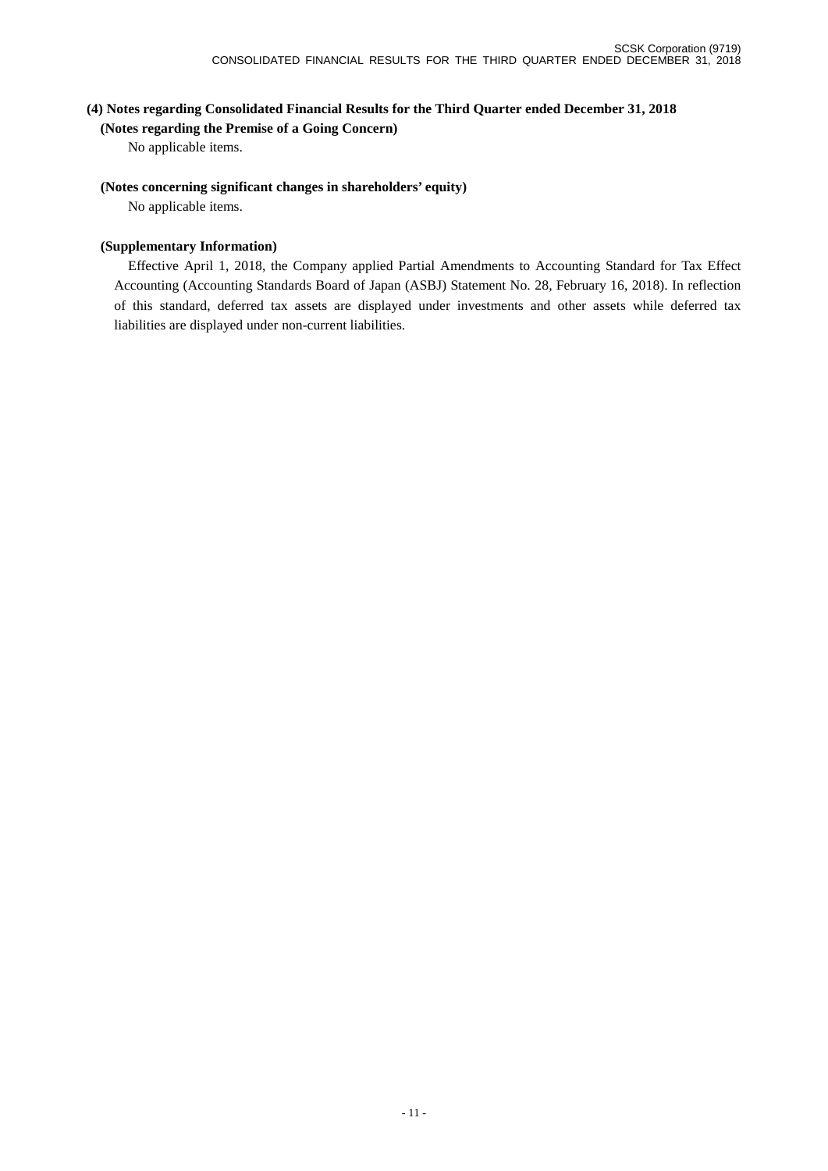## **(4) Notes regarding Consolidated Financial Results for the Third Quarter ended December 31, 2018**

**(Notes regarding the Premise of a Going Concern)**

No applicable items.

#### **(Notes concerning significant changes in shareholders' equity)**

No applicable items.

#### **(Supplementary Information)**

Effective April 1, 2018, the Company applied Partial Amendments to Accounting Standard for Tax Effect Accounting (Accounting Standards Board of Japan (ASBJ) Statement No. 28, February 16, 2018). In reflection of this standard, deferred tax assets are displayed under investments and other assets while deferred tax liabilities are displayed under non-current liabilities.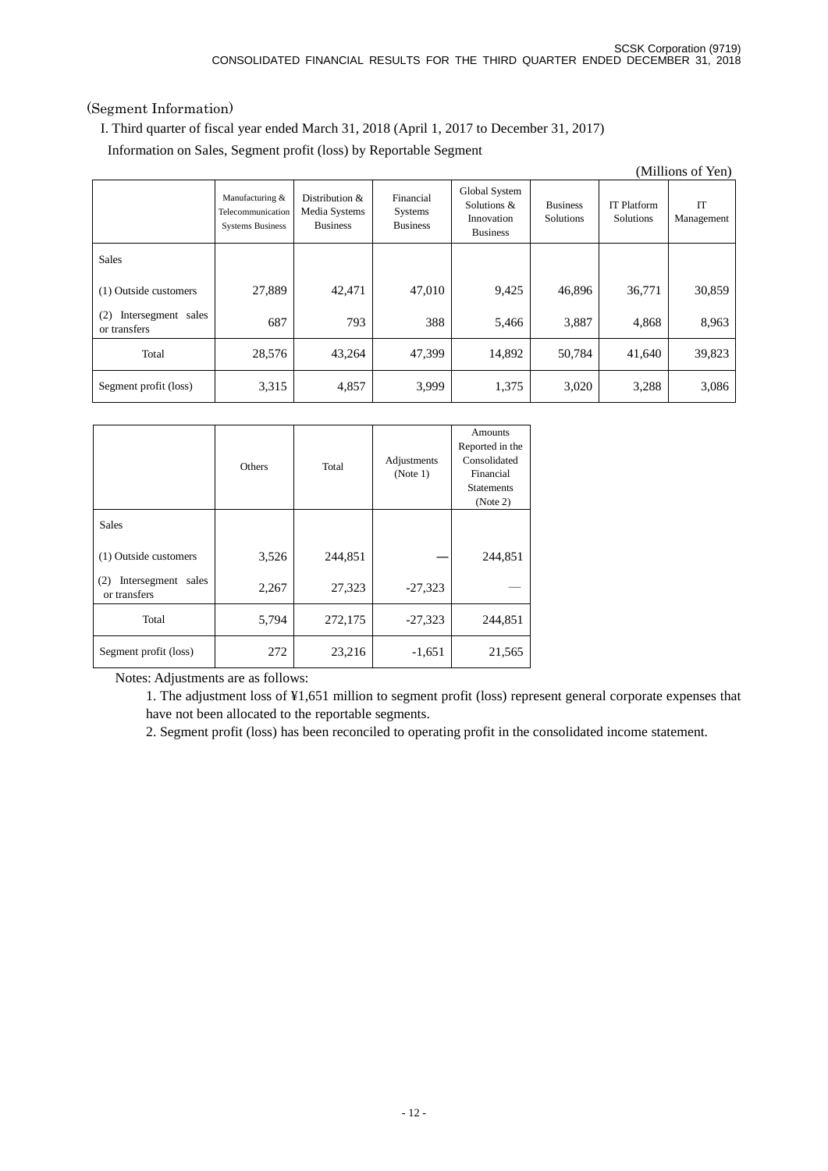## (Segment Information)

I. Third quarter of fiscal year ended March 31, 2018 (April 1, 2017 to December 31, 2017)

Information on Sales, Segment profit (loss) by Reportable Segment

|                                           |                                                                 |                                                       |                                                |                                                               |                              |                                 | (Millions of Yen) |
|-------------------------------------------|-----------------------------------------------------------------|-------------------------------------------------------|------------------------------------------------|---------------------------------------------------------------|------------------------------|---------------------------------|-------------------|
|                                           | Manufacturing &<br>Telecommunication<br><b>Systems Business</b> | Distribution $\&$<br>Media Systems<br><b>Business</b> | Financial<br><b>Systems</b><br><b>Business</b> | Global System<br>Solutions &<br>Innovation<br><b>Business</b> | <b>Business</b><br>Solutions | <b>IT Platform</b><br>Solutions | IT<br>Management  |
| <b>Sales</b>                              |                                                                 |                                                       |                                                |                                                               |                              |                                 |                   |
| (1) Outside customers                     | 27,889                                                          | 42,471                                                | 47,010                                         | 9,425                                                         | 46,896                       | 36,771                          | 30,859            |
| Intersegment sales<br>(2)<br>or transfers | 687                                                             | 793                                                   | 388                                            | 5,466                                                         | 3,887                        | 4,868                           | 8,963             |
| Total                                     | 28,576                                                          | 43,264                                                | 47.399                                         | 14,892                                                        | 50,784                       | 41,640                          | 39,823            |
| Segment profit (loss)                     | 3,315                                                           | 4,857                                                 | 3.999                                          | 1,375                                                         | 3,020                        | 3,288                           | 3,086             |

|                                           | <b>Others</b> | Total   | Adjustments<br>(Note 1) | Amounts<br>Reported in the<br>Consolidated<br>Financial<br><b>Statements</b><br>(Note 2) |
|-------------------------------------------|---------------|---------|-------------------------|------------------------------------------------------------------------------------------|
| <b>Sales</b>                              |               |         |                         |                                                                                          |
| (1) Outside customers                     | 3,526         | 244,851 |                         | 244,851                                                                                  |
| Intersegment sales<br>(2)<br>or transfers | 2,267         | 27,323  | $-27,323$               |                                                                                          |
| Total                                     | 5,794         | 272,175 | $-27,323$               | 244,851                                                                                  |
| Segment profit (loss)                     | 272           | 23,216  | $-1,651$                | 21,565                                                                                   |

Notes: Adjustments are as follows:

1. The adjustment loss of ¥1,651 million to segment profit (loss) represent general corporate expenses that have not been allocated to the reportable segments.

2. Segment profit (loss) has been reconciled to operating profit in the consolidated income statement.